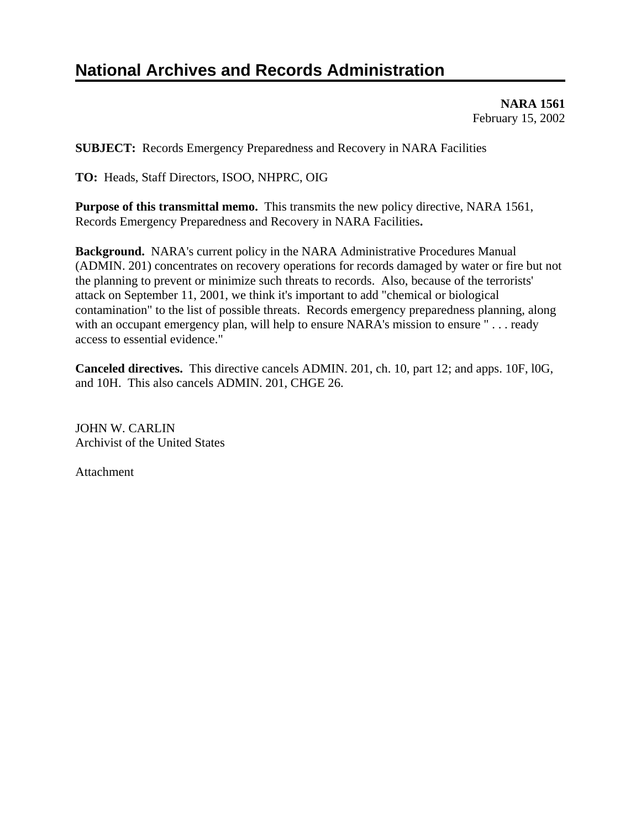# **National Archives and Records Administration**

**NARA 1561**  February 15, 2002

**SUBJECT:** Records Emergency Preparedness and Recovery in NARA Facilities

**TO:** Heads, Staff Directors, ISOO, NHPRC, OIG

**Purpose of this transmittal memo.** This transmits the new policy directive, NARA 1561, Records Emergency Preparedness and Recovery in NARA Facilities**.** 

**Background.** NARA's current policy in the NARA Administrative Procedures Manual (ADMIN. 201) concentrates on recovery operations for records damaged by water or fire but not the planning to prevent or minimize such threats to records. Also, because of the terrorists' attack on September 11, 2001, we think it's important to add "chemical or biological contamination" to the list of possible threats. Records emergency preparedness planning, along with an occupant emergency plan, will help to ensure NARA's mission to ensure "... ready access to essential evidence."

**Canceled directives.** This directive cancels ADMIN. 201, ch. 10, part 12; and apps. 10F, l0G, and 10H. This also cancels ADMIN. 201, CHGE 26.

JOHN W. CARLIN Archivist of the United States

Attachment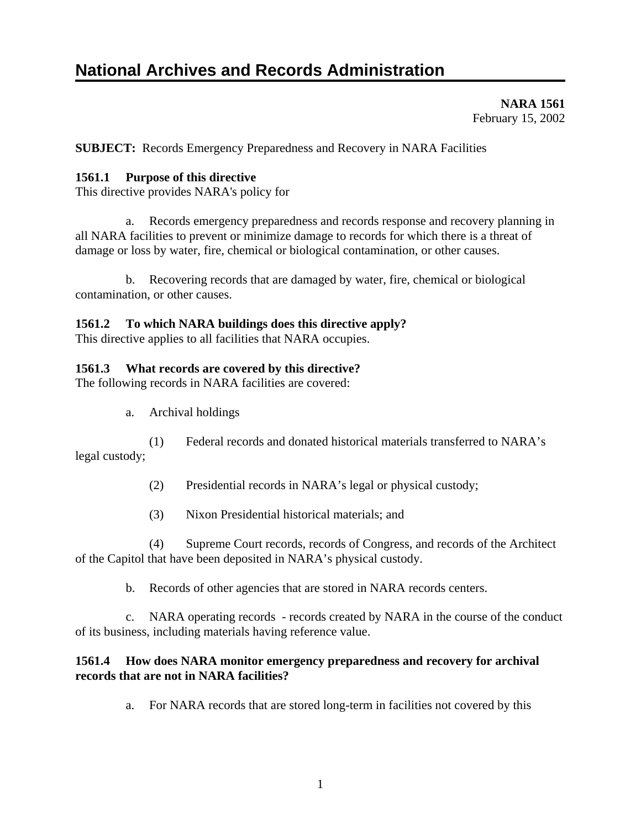# **National Archives and Records Administration**

**NARA 1561**  February 15, 2002

**SUBJECT:** Records Emergency Preparedness and Recovery in NARA Facilities

## **1561.1 Purpose of this directive**

This directive provides NARA's policy for

 a. Records emergency preparedness and records response and recovery planning in all NARA facilities to prevent or minimize damage to records for which there is a threat of damage or loss by water, fire, chemical or biological contamination, or other causes.

 b. Recovering records that are damaged by water, fire, chemical or biological contamination, or other causes.

#### **1561.2 To which NARA buildings does this directive apply?**

This directive applies to all facilities that NARA occupies.

### **1561.3 What records are covered by this directive?**

The following records in NARA facilities are covered:

a. Archival holdings

 (1) Federal records and donated historical materials transferred to NARA's legal custody;

- (2) Presidential records in NARA's legal or physical custody;
- (3) Nixon Presidential historical materials; and

 (4) Supreme Court records, records of Congress, and records of the Architect of the Capitol that have been deposited in NARA's physical custody.

b. Records of other agencies that are stored in NARA records centers.

 c. NARA operating records - records created by NARA in the course of the conduct of its business, including materials having reference value.

# **1561.4 How does NARA monitor emergency preparedness and recovery for archival records that are not in NARA facilities?**

a. For NARA records that are stored long-term in facilities not covered by this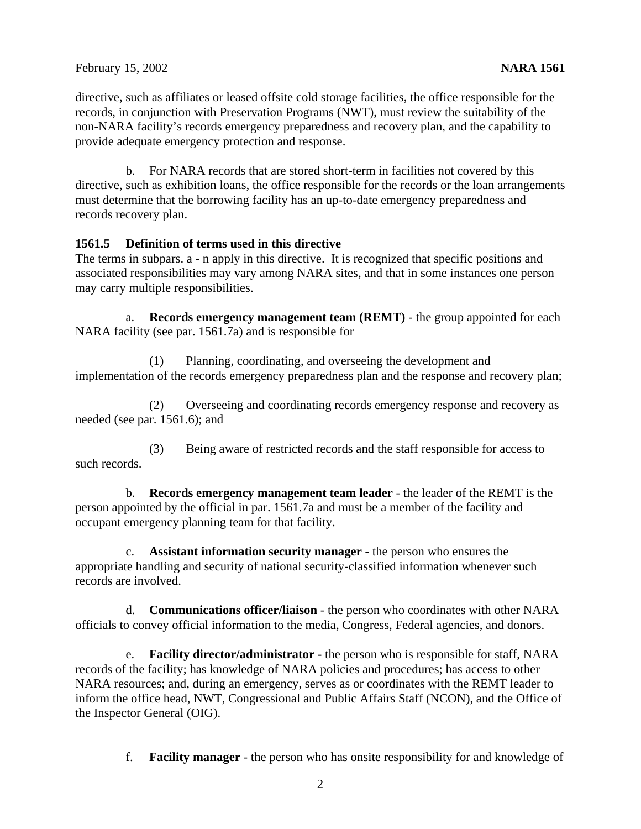directive, such as affiliates or leased offsite cold storage facilities, the office responsible for the records, in conjunction with Preservation Programs (NWT), must review the suitability of the non-NARA facility's records emergency preparedness and recovery plan, and the capability to provide adequate emergency protection and response.

 b. For NARA records that are stored short-term in facilities not covered by this directive, such as exhibition loans, the office responsible for the records or the loan arrangements must determine that the borrowing facility has an up-to-date emergency preparedness and records recovery plan.

### **1561.5 Definition of terms used in this directive**

The terms in subpars. a - n apply in this directive. It is recognized that specific positions and associated responsibilities may vary among NARA sites, and that in some instances one person may carry multiple responsibilities.

 a. **Records emergency management team (REMT)** - the group appointed for each NARA facility (see par. 1561.7a) and is responsible for

 (1) Planning, coordinating, and overseeing the development and implementation of the records emergency preparedness plan and the response and recovery plan;

 (2) Overseeing and coordinating records emergency response and recovery as needed (see par. 1561.6); and

 (3) Being aware of restricted records and the staff responsible for access to such records.

 b. **Records emergency management team leader** - the leader of the REMT is the person appointed by the official in par. 1561.7a and must be a member of the facility and occupant emergency planning team for that facility.

 c. **Assistant information security manager** - the person who ensures the appropriate handling and security of national security-classified information whenever such records are involved.

 d. **Communications officer/liaison** - the person who coordinates with other NARA officials to convey official information to the media, Congress, Federal agencies, and donors.

 e. **Facility director/administrator -** the person who is responsible for staff, NARA records of the facility; has knowledge of NARA policies and procedures; has access to other NARA resources; and, during an emergency, serves as or coordinates with the REMT leader to inform the office head, NWT, Congressional and Public Affairs Staff (NCON), and the Office of the Inspector General (OIG).

f. **Facility manager** - the person who has onsite responsibility for and knowledge of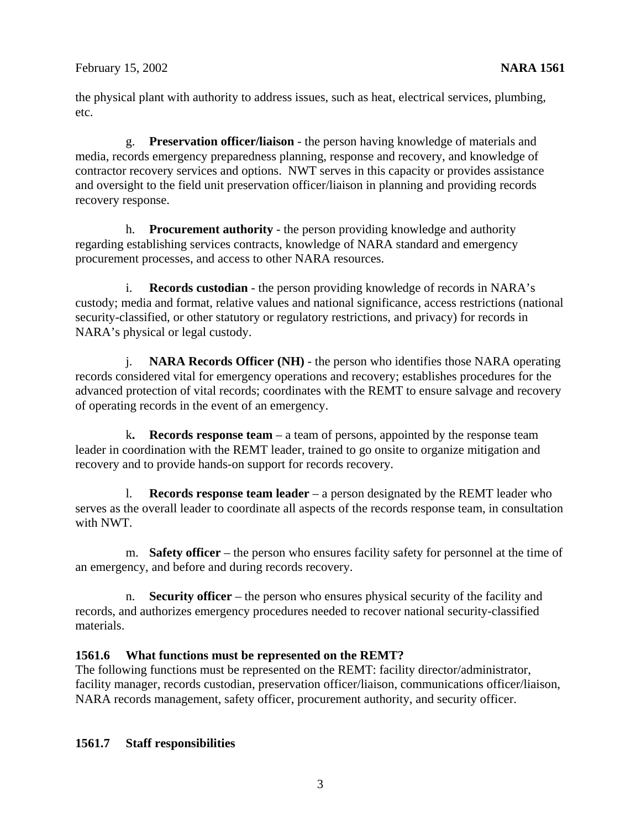the physical plant with authority to address issues, such as heat, electrical services, plumbing, etc.

 g. **Preservation officer/liaison** - the person having knowledge of materials and media, records emergency preparedness planning, response and recovery, and knowledge of contractor recovery services and options. NWT serves in this capacity or provides assistance and oversight to the field unit preservation officer/liaison in planning and providing records recovery response.

 h. **Procurement authority** - the person providing knowledge and authority regarding establishing services contracts, knowledge of NARA standard and emergency procurement processes, and access to other NARA resources.

 i. **Records custodian** - the person providing knowledge of records in NARA's custody; media and format, relative values and national significance, access restrictions (national security-classified, or other statutory or regulatory restrictions, and privacy) for records in NARA's physical or legal custody.

 j. **NARA Records Officer (NH)** - the person who identifies those NARA operating records considered vital for emergency operations and recovery; establishes procedures for the advanced protection of vital records; coordinates with the REMT to ensure salvage and recovery of operating records in the event of an emergency.

k**. Records response team** – a team of persons, appointed by the response team leader in coordination with the REMT leader, trained to go onsite to organize mitigation and recovery and to provide hands-on support for records recovery.

 l. **Records response team leader** – a person designated by the REMT leader who serves as the overall leader to coordinate all aspects of the records response team, in consultation with NWT.

 m. **Safety officer** – the person who ensures facility safety for personnel at the time of an emergency, and before and during records recovery.

 n. **Security officer** – the person who ensures physical security of the facility and records, and authorizes emergency procedures needed to recover national security-classified materials.

# **1561.6 What functions must be represented on the REMT?**

The following functions must be represented on the REMT: facility director/administrator, facility manager, records custodian, preservation officer/liaison, communications officer/liaison, NARA records management, safety officer, procurement authority, and security officer.

# **1561.7 Staff responsibilities**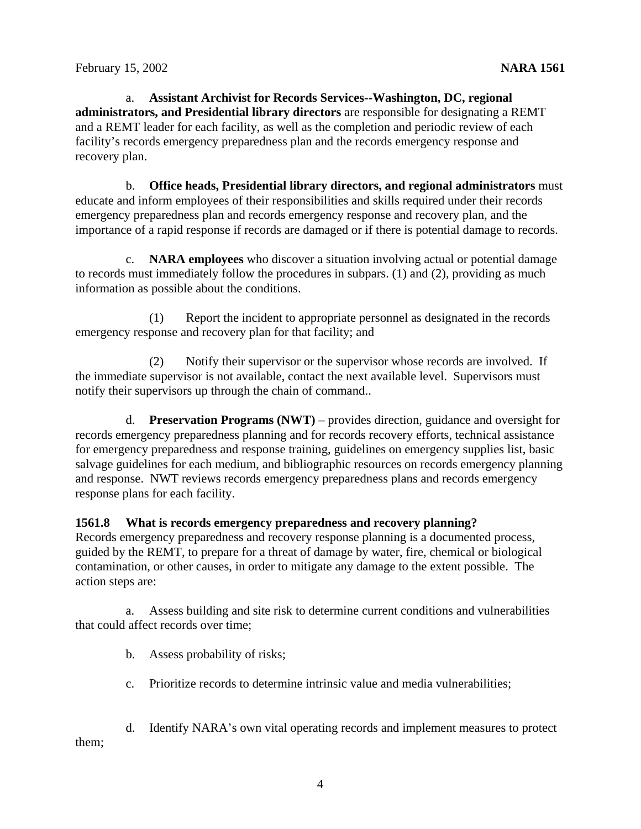a. **Assistant Archivist for Records Services--Washington, DC, regional administrators, and Presidential library directors** are responsible for designating a REMT and a REMT leader for each facility, as well as the completion and periodic review of each facility's records emergency preparedness plan and the records emergency response and recovery plan.

 b. **Office heads, Presidential library directors, and regional administrators** must educate and inform employees of their responsibilities and skills required under their records emergency preparedness plan and records emergency response and recovery plan, and the importance of a rapid response if records are damaged or if there is potential damage to records.

 c. **NARA employees** who discover a situation involving actual or potential damage to records must immediately follow the procedures in subpars. (1) and (2), providing as much information as possible about the conditions.

 (1) Report the incident to appropriate personnel as designated in the records emergency response and recovery plan for that facility; and

 (2) Notify their supervisor or the supervisor whose records are involved. If the immediate supervisor is not available, contact the next available level. Supervisors must notify their supervisors up through the chain of command..

 d. **Preservation Programs (NWT)** – provides direction, guidance and oversight for records emergency preparedness planning and for records recovery efforts, technical assistance for emergency preparedness and response training, guidelines on emergency supplies list, basic salvage guidelines for each medium, and bibliographic resources on records emergency planning and response. NWT reviews records emergency preparedness plans and records emergency response plans for each facility.

# **1561.8 What is records emergency preparedness and recovery planning?**

Records emergency preparedness and recovery response planning is a documented process, guided by the REMT, to prepare for a threat of damage by water, fire, chemical or biological contamination, or other causes, in order to mitigate any damage to the extent possible. The action steps are:

 a. Assess building and site risk to determine current conditions and vulnerabilities that could affect records over time;

b. Assess probability of risks;

c. Prioritize records to determine intrinsic value and media vulnerabilities;

 d. Identify NARA's own vital operating records and implement measures to protect them;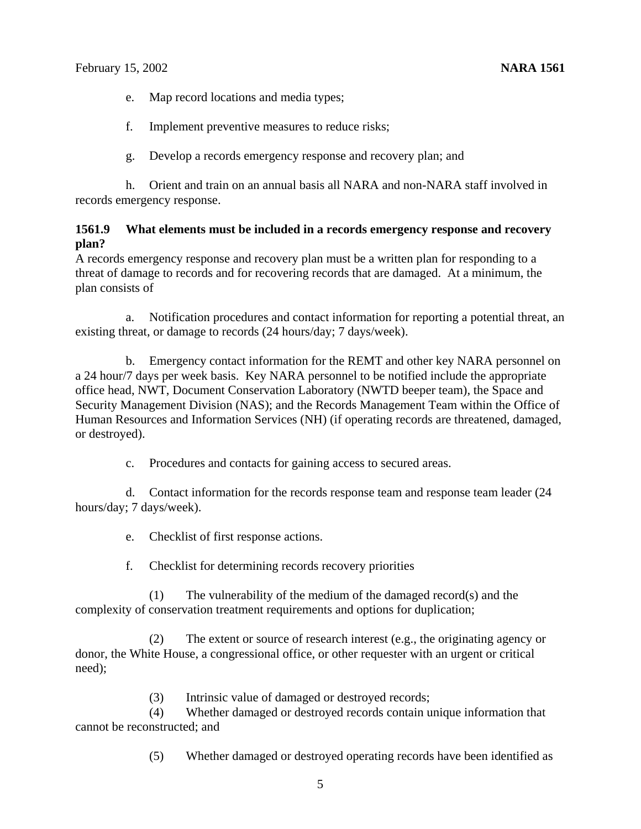e. Map record locations and media types;

f. Implement preventive measures to reduce risks;

g. Develop a records emergency response and recovery plan; and

 h. Orient and train on an annual basis all NARA and non-NARA staff involved in records emergency response.

#### **1561.9 What elements must be included in a records emergency response and recovery plan?**

A records emergency response and recovery plan must be a written plan for responding to a threat of damage to records and for recovering records that are damaged. At a minimum, the plan consists of

 a. Notification procedures and contact information for reporting a potential threat, an existing threat, or damage to records (24 hours/day; 7 days/week).

 b. Emergency contact information for the REMT and other key NARA personnel on a 24 hour/7 days per week basis. Key NARA personnel to be notified include the appropriate office head, NWT, Document Conservation Laboratory (NWTD beeper team), the Space and Security Management Division (NAS); and the Records Management Team within the Office of Human Resources and Information Services (NH) (if operating records are threatened, damaged, or destroyed).

c. Procedures and contacts for gaining access to secured areas.

 d. Contact information for the records response team and response team leader (24 hours/day; 7 days/week).

e. Checklist of first response actions.

f. Checklist for determining records recovery priorities

 (1) The vulnerability of the medium of the damaged record(s) and the complexity of conservation treatment requirements and options for duplication;

 (2) The extent or source of research interest (e.g., the originating agency or donor, the White House, a congressional office, or other requester with an urgent or critical need);

(3) Intrinsic value of damaged or destroyed records;

 (4) Whether damaged or destroyed records contain unique information that cannot be reconstructed; and

(5) Whether damaged or destroyed operating records have been identified as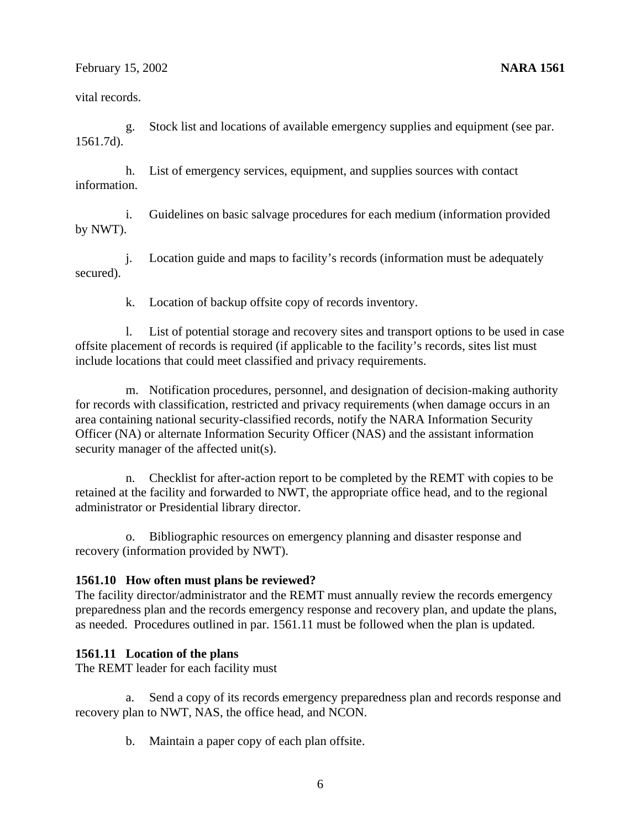February 15, 2002 **NARA 1561** 

vital records.

 g. Stock list and locations of available emergency supplies and equipment (see par. 1561.7d).

 h. List of emergency services, equipment, and supplies sources with contact information.

 i. Guidelines on basic salvage procedures for each medium (information provided by NWT).

 j. Location guide and maps to facility's records (information must be adequately secured).

k. Location of backup offsite copy of records inventory.

 l. List of potential storage and recovery sites and transport options to be used in case offsite placement of records is required (if applicable to the facility's records, sites list must include locations that could meet classified and privacy requirements.

 m. Notification procedures, personnel, and designation of decision-making authority for records with classification, restricted and privacy requirements (when damage occurs in an area containing national security-classified records, notify the NARA Information Security Officer (NA) or alternate Information Security Officer (NAS) and the assistant information security manager of the affected unit(s).

 n. Checklist for after-action report to be completed by the REMT with copies to be retained at the facility and forwarded to NWT, the appropriate office head, and to the regional administrator or Presidential library director.

 o. Bibliographic resources on emergency planning and disaster response and recovery (information provided by NWT).

#### **1561.10 How often must plans be reviewed?**

The facility director/administrator and the REMT must annually review the records emergency preparedness plan and the records emergency response and recovery plan, and update the plans, as needed. Procedures outlined in par. 1561.11 must be followed when the plan is updated.

#### **1561.11 Location of the plans**

The REMT leader for each facility must

 a. Send a copy of its records emergency preparedness plan and records response and recovery plan to NWT, NAS, the office head, and NCON.

b. Maintain a paper copy of each plan offsite.